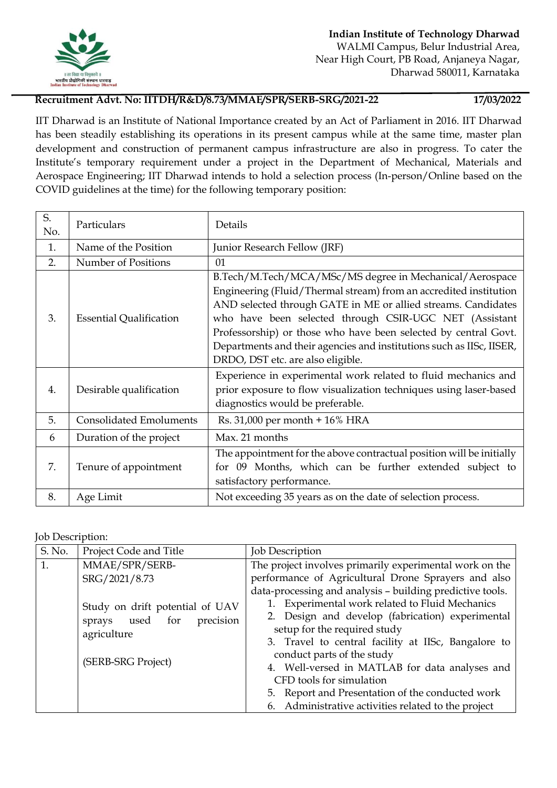

## **Recruitment Advt. No: IITDH/R&D/8.73/MMAE/SPR/SERB-SRG/2021-22 17/03/2022**

IIT Dharwad is an Institute of National Importance created by an Act of Parliament in 2016. IIT Dharwad has been steadily establishing its operations in its present campus while at the same time, master plan development and construction of permanent campus infrastructure are also in progress. To cater the Institute's temporary requirement under a project in the Department of Mechanical, Materials and Aerospace Engineering; IIT Dharwad intends to hold a selection process (In-person/Online based on the COVID guidelines at the time) for the following temporary position:

| S.<br>No. | Particulars                    | Details                                                                                                                                                                                                                                                                                                                                                                                                                                 |
|-----------|--------------------------------|-----------------------------------------------------------------------------------------------------------------------------------------------------------------------------------------------------------------------------------------------------------------------------------------------------------------------------------------------------------------------------------------------------------------------------------------|
| 1.        | Name of the Position           | Junior Research Fellow (JRF)                                                                                                                                                                                                                                                                                                                                                                                                            |
| 2.        | Number of Positions            | 01                                                                                                                                                                                                                                                                                                                                                                                                                                      |
| 3.        | <b>Essential Qualification</b> | B.Tech/M.Tech/MCA/MSc/MS degree in Mechanical/Aerospace<br>Engineering (Fluid/Thermal stream) from an accredited institution<br>AND selected through GATE in ME or allied streams. Candidates<br>who have been selected through CSIR-UGC NET (Assistant<br>Professorship) or those who have been selected by central Govt.<br>Departments and their agencies and institutions such as IISc, IISER,<br>DRDO, DST etc. are also eligible. |
| 4.        | Desirable qualification        | Experience in experimental work related to fluid mechanics and<br>prior exposure to flow visualization techniques using laser-based<br>diagnostics would be preferable.                                                                                                                                                                                                                                                                 |
| 5.        | <b>Consolidated Emoluments</b> | Rs. 31,000 per month + 16% HRA                                                                                                                                                                                                                                                                                                                                                                                                          |
| 6         | Duration of the project        | Max. 21 months                                                                                                                                                                                                                                                                                                                                                                                                                          |
| 7.        | Tenure of appointment          | The appointment for the above contractual position will be initially<br>for 09 Months, which can be further extended subject to<br>satisfactory performance.                                                                                                                                                                                                                                                                            |
| 8.        | Age Limit                      | Not exceeding 35 years as on the date of selection process.                                                                                                                                                                                                                                                                                                                                                                             |

Job Description:

| S. No. | Project Code and Title                                                         | <b>Job Description</b>                                                                                       |
|--------|--------------------------------------------------------------------------------|--------------------------------------------------------------------------------------------------------------|
| 1.     | MMAE/SPR/SERB-                                                                 | The project involves primarily experimental work on the                                                      |
|        | SRG/2021/8.73                                                                  | performance of Agricultural Drone Sprayers and also                                                          |
|        | Study on drift potential of UAV<br>precision<br>sprays used for<br>agriculture | data-processing and analysis - building predictive tools.<br>1. Experimental work related to Fluid Mechanics |
|        |                                                                                | 2. Design and develop (fabrication) experimental<br>setup for the required study                             |
|        |                                                                                | 3. Travel to central facility at IISc, Bangalore to<br>conduct parts of the study                            |
|        | (SERB-SRG Project)                                                             | 4. Well-versed in MATLAB for data analyses and<br>CFD tools for simulation                                   |
|        |                                                                                | 5. Report and Presentation of the conducted work                                                             |
|        |                                                                                | 6. Administrative activities related to the project                                                          |